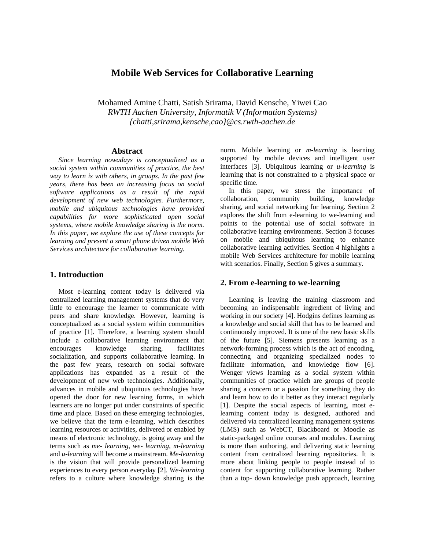# **Mobile Web Services for Collaborative Learning**

Mohamed Amine Chatti, Satish Srirama, David Kensche, Yiwei Cao *RWTH Aachen University, Informatik V (Information Systems) {chatti,srirama,kensche,cao}@cs.rwth-aachen.de* 

### **Abstract**

*Since learning nowadays is conceptualized as a social system within communities of practice, the best way to learn is with others, in groups. In the past few years, there has been an increasing focus on social software applications as a result of the rapid development of new web technologies. Furthermore, mobile and ubiquitous technologies have provided capabilities for more sophisticated open social systems, where mobile knowledge sharing is the norm. In this paper, we explore the use of these concepts for learning and present a smart phone driven mobile Web Services architecture for collaborative learning.* 

## **1. Introduction**

Most e-learning content today is delivered via centralized learning management systems that do very little to encourage the learner to communicate with peers and share knowledge. However, learning is conceptualized as a social system within communities of practice [1]. Therefore, a learning system should include a collaborative learning environment that encourages knowledge sharing, facilitates socialization, and supports collaborative learning. In the past few years, research on social software applications has expanded as a result of the development of new web technologies. Additionally, advances in mobile and ubiquitous technologies have opened the door for new learning forms, in which learners are no longer put under constraints of specific time and place. Based on these emerging technologies, we believe that the term e-learning, which describes learning resources or activities, delivered or enabled by means of electronic technology, is going away and the terms such as *me- learning*, *we- learning*, *m-learning* and *u-learning* will become a mainstream. *Me-learning* is the vision that will provide personalized learning experiences to every person everyday [2]. *We-learning* refers to a culture where knowledge sharing is the

norm. Mobile learning or *m-learning* is learning supported by mobile devices and intelligent user interfaces [3]. Ubiquitous learning or *u-learning* is learning that is not constrained to a physical space or specific time.

In this paper, we stress the importance of collaboration, community building, knowledge sharing, and social networking for learning. Section 2 explores the shift from e-learning to we-learning and points to the potential use of social software in collaborative learning environments. Section 3 focuses on mobile and ubiquitous learning to enhance collaborative learning activities. Section 4 highlights a mobile Web Services architecture for mobile learning with scenarios. Finally, Section 5 gives a summary*.* 

## **2. From e-learning to we-learning**

Learning is leaving the training classroom and becoming an indispensable ingredient of living and working in our society [4]. Hodgins defines learning as a knowledge and social skill that has to be learned and continuously improved. It is one of the new basic skills of the future [5]. Siemens presents learning as a network-forming process which is the act of encoding, connecting and organizing specialized nodes to facilitate information, and knowledge flow [6]. Wenger views learning as a social system within communities of practice which are groups of people sharing a concern or a passion for something they do and learn how to do it better as they interact regularly [1]. Despite the social aspects of learning, most elearning content today is designed, authored and delivered via centralized learning management systems (LMS) such as WebCT, Blackboard or Moodle as static-packaged online courses and modules. Learning is more than authoring, and delivering static learning content from centralized learning repositories. It is more about linking people to people instead of to content for supporting collaborative learning. Rather than a top- down knowledge push approach, learning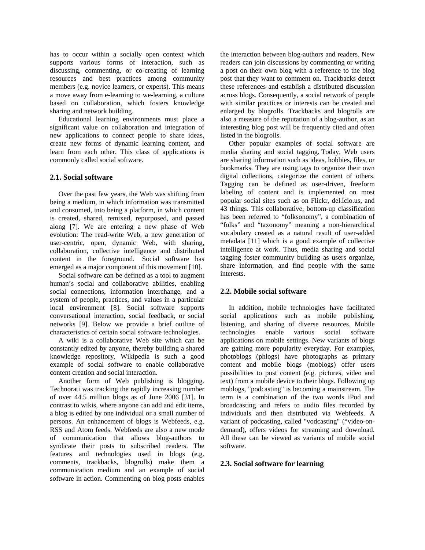has to occur within a socially open context which supports various forms of interaction, such as discussing, commenting, or co-creating of learning resources and best practices among community members (e.g. novice learners, or experts). This means a move away from e-learning to we-learning, a culture based on collaboration, which fosters knowledge sharing and network building.

Educational learning environments must place a significant value on collaboration and integration of new applications to connect people to share ideas, create new forms of dynamic learning content, and learn from each other. This class of applications is commonly called social software.

### **2.1. Social software**

Over the past few years, the Web was shifting from being a medium, in which information was transmitted and consumed, into being a platform, in which content is created, shared, remixed, repurposed, and passed along [7]. We are entering a new phase of Web evolution: The read-write Web, a new generation of user-centric, open, dynamic Web, with sharing, collaboration, collective intelligence and distributed content in the foreground. Social software has emerged as a major component of this movement [10].

Social software can be defined as a tool to augment human's social and collaborative abilities, enabling social connections, information interchange, and a system of people, practices, and values in a particular local environment [8]. Social software supports conversational interaction, social feedback, or social networks [9]. Below we provide a brief outline of characteristics of certain social software technologies.

A wiki is a collaborative Web site which can be constantly edited by anyone, thereby building a shared knowledge repository. Wikipedia is such a good example of social software to enable collaborative content creation and social interaction.

Another form of Web publishing is blogging. Technorati was tracking the rapidly increasing number of over 44.5 million blogs as of June 2006 [31]. In contrast to wikis, where anyone can add and edit items, a blog is edited by one individual or a small number of persons. An enhancement of blogs is Webfeeds, e.g. RSS and Atom feeds. Webfeeds are also a new mode of communication that allows blog-authors to syndicate their posts to subscribed readers. The features and technologies used in blogs (e.g. comments, trackbacks, blogrolls) make them a communication medium and an example of social software in action. Commenting on blog posts enables

the interaction between blog-authors and readers. New readers can join discussions by commenting or writing a post on their own blog with a reference to the blog post that they want to comment on. Trackbacks detect these references and establish a distributed discussion across blogs. Consequently, a social network of people with similar practices or interests can be created and enlarged by blogrolls. Trackbacks and blogrolls are also a measure of the reputation of a blog-author, as an interesting blog post will be frequently cited and often listed in the blogrolls.

Other popular examples of social software are media sharing and social tagging. Today, Web users are sharing information such as ideas, hobbies, files, or bookmarks. They are using tags to organize their own digital collections, categorize the content of others. Tagging can be defined as user-driven, freeform labeling of content and is implemented on most popular social sites such as on Flickr, del.icio.us, and 43 things. This collaborative, bottom-up classification has been referred to "folksonomy", a combination of "folks" and "taxonomy" meaning a non-hierarchical vocabulary created as a natural result of user-added metadata [11] which is a good example of collective intelligence at work. Thus, media sharing and social tagging foster community building as users organize, share information, and find people with the same interests.

### **2.2. Mobile social software**

In addition, mobile technologies have facilitated social applications such as mobile publishing, listening, and sharing of diverse resources. Mobile technologies enable various social software applications on mobile settings. New variants of blogs are gaining more popularity everyday. For examples, photoblogs (phlogs) have photographs as primary content and mobile blogs (moblogs) offer users possibilities to post content (e.g. pictures, video and text) from a mobile device to their blogs. Following up moblogs, "podcasting" is becoming a mainstream. The term is a combination of the two words iPod and broadcasting and refers to audio files recorded by individuals and then distributed via Webfeeds. A variant of podcasting, called "vodcasting" ("video-ondemand), offers videos for streaming and download. All these can be viewed as variants of mobile social software.

#### **2.3. Social software for learning**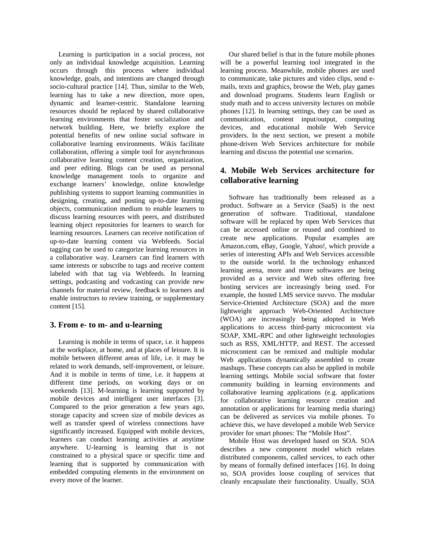Learning is participation in a social process, not only an individual knowledge acquisition. Learning occurs through this process where individual knowledge, goals, and intentions are changed through socio-cultural practice [14]. Thus, similar to the Web, learning has to take a new direction, more open, dynamic and learner-centric. Standalone learning resources should be replaced by shared collaborative learning environments that foster socialization and network building. Here, we briefly explore the potential benefits of new online social software in collaborative learning environments. Wikis facilitate collaboration, offering a simple tool for asynchronous collaborative learning content creation, organization, and peer editing. Blogs can be used as personal knowledge management tools to organize and exchange learners' knowledge, online knowledge publishing systems to support learning communities in designing, creating, and posting up-to-date learning objects, communication medium to enable learners to discuss learning resources with peers, and distributed learning object repositories for learners to search for learning resources. Learners can receive notification of up-to-date learning content via Webfeeds. Social tagging can be used to categorize learning resources in a collaborative way. Learners can find learners with same interests or subscribe to tags and receive content labeled with that tag via Webfeeds. In learning settings, podcasting and vodcasting can provide new channels for material review, feedback to learners and enable instructors to review training, or supplementary content [15].

## **3. From e- to m- and u-learning**

Learning is mobile in terms of space, i.e. it happens at the workplace, at home, and at places of leisure. It is mobile between different areas of life, i.e. it may be related to work demands, self-improvement, or leisure. And it is mobile in terms of time, i.e. it happens at different time periods, on working days or on weekends [13]. M-learning is learning supported by mobile devices and intelligent user interfaces [3]. Compared to the prior generation a few years ago, storage capacity and screen size of mobile devices as well as transfer speed of wireless connections have significantly increased. Equipped with mobile devices, learners can conduct learning activities at anytime anywhere. U-learning is learning that is not constrained to a physical space or specific time and learning that is supported by communication with embedded computing elements in the environment on every move of the learner.

Our shared belief is that in the future mobile phones will be a powerful learning tool integrated in the learning process. Meanwhile, mobile phones are used to communicate, take pictures and video clips, send emails, texts and graphics, browse the Web, play games and download programs. Students learn English or study math and to access university lectures on mobile phones [12]. In learning settings, they can be used as communication, content input/output, computing devices, and educational mobile Web Service providers. In the next section, we present a mobile phone-driven Web Services architecture for mobile learning and discuss the potential use scenarios.

# **4. Mobile Web Services architecture for collaborative learning**

Software has traditionally been released as a product. Software as a Service (SaaS) is the next generation of software. Traditional, standalone software will be replaced by open Web Services that can be accessed online or reused and combined to create new applications. Popular examples are Amazon.com, eBay, Google, Yahoo!, which provide a series of interesting APIs and Web Services accessible to the outside world. In the technology enhanced learning arena, more and more softwares are being provided as a service and Web sites offering free hosting services are increasingly being used. For example, the hosted LMS service nuvvo. The modular Service-Oriented Architecture (SOA) and the more lightweight approach Web-Oriented Architecture (WOA) are increasingly being adopted in Web applications to access third-party microcontent via SOAP, XML-RPC and other lightweight technologies such as RSS, XML/HTTP, and REST. The accessed microcontent can be remixed and multiple modular Web applications dynamically assembled to create mashups. These concepts can also be applied in mobile learning settings. Mobile social software that foster community building in learning environments and collaborative learning applications (e.g. applications for collaborative learning resource creation and annotation or applications for learning media sharing) can be delivered as services via mobile phones. To achieve this, we have developed a mobile Web Service provider for smart phones: The "Mobile Host".

Mobile Host was developed based on SOA. SOA describes a new component model which relates distributed components, called services, to each other by means of formally defined interfaces [16]. In doing so, SOA provides loose coupling of services that cleanly encapsulate their functionality. Usually, SOA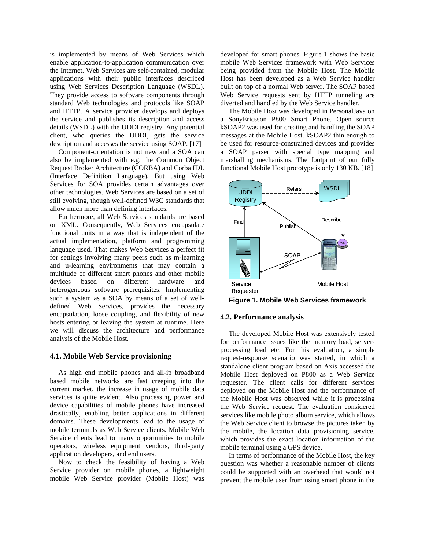is implemented by means of Web Services which enable application-to-application communication over the Internet. Web Services are self-contained, modular applications with their public interfaces described using Web Services Description Language (WSDL). They provide access to software components through standard Web technologies and protocols like SOAP and HTTP. A service provider develops and deploys the service and publishes its description and access details (WSDL) with the UDDI registry. Any potential client, who queries the UDDI, gets the service description and accesses the service using SOAP. [17]

Component-orientation is not new and a SOA can also be implemented with e.g. the Common Object Request Broker Architecture (CORBA) and Corba IDL (Interface Definition Language). But using Web Services for SOA provides certain advantages over other technologies. Web Services are based on a set of still evolving, though well-defined W3C standards that allow much more than defining interfaces.

Furthermore, all Web Services standards are based on XML. Consequently, Web Services encapsulate functional units in a way that is independent of the actual implementation, platform and programming language used. That makes Web Services a perfect fit for settings involving many peers such as m-learning and u-learning environments that may contain a multitude of different smart phones and other mobile devices based on different hardware and heterogeneous software prerequisites. Implementing such a system as a SOA by means of a set of welldefined Web Services, provides the necessary encapsulation, loose coupling, and flexibility of new hosts entering or leaving the system at runtime. Here we will discuss the architecture and performance analysis of the Mobile Host.

#### **4.1. Mobile Web Service provisioning**

As high end mobile phones and all-ip broadband based mobile networks are fast creeping into the current market, the increase in usage of mobile data services is quite evident. Also processing power and device capabilities of mobile phones have increased drastically, enabling better applications in different domains. These developments lead to the usage of mobile terminals as Web Service clients. Mobile Web Service clients lead to many opportunities to mobile operators, wireless equipment vendors, third-party application developers, and end users.

Now to check the feasibility of having a Web Service provider on mobile phones, a lightweight mobile Web Service provider (Mobile Host) was

developed for smart phones. Figure 1 shows the basic mobile Web Services framework with Web Services being provided from the Mobile Host. The Mobile Host has been developed as a Web Service handler built on top of a normal Web server. The SOAP based Web Service requests sent by HTTP tunneling are diverted and handled by the Web Service handler.

The Mobile Host was developed in PersonalJava on a SonyEricsson P800 Smart Phone. Open source kSOAP2 was used for creating and handling the SOAP messages at the Mobile Host. kSOAP2 thin enough to be used for resource-constrained devices and provides a SOAP parser with special type mapping and marshalling mechanisms. The footprint of our fully functional Mobile Host prototype is only 130 KB. [18]



**Figure 1. Mobile Web Services framework** 

### **4.2. Performance analysis**

The developed Mobile Host was extensively tested for performance issues like the memory load, serverprocessing load etc. For this evaluation, a simple request-response scenario was started, in which a standalone client program based on Axis accessed the Mobile Host deployed on P800 as a Web Service requester. The client calls for different services deployed on the Mobile Host and the performance of the Mobile Host was observed while it is processing the Web Service request. The evaluation considered services like mobile photo album service, which allows the Web Service client to browse the pictures taken by the mobile, the location data provisioning service, which provides the exact location information of the mobile terminal using a GPS device.

In terms of performance of the Mobile Host, the key question was whether a reasonable number of clients could be supported with an overhead that would not prevent the mobile user from using smart phone in the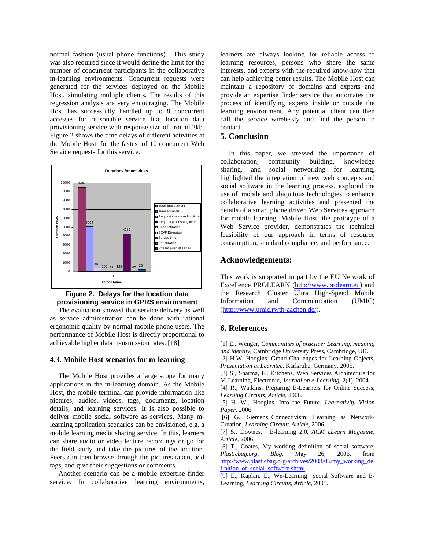normal fashion (usual phone functions). This study was also required since it would define the limit for the number of concurrent participants in the collaborative m-learning environments. Concurrent requests were generated for the services deployed on the Mobile Host, simulating multiple clients. The results of this regression analysis are very encouraging. The Mobile Host has successfully handled up to 8 concurrent accesses for reasonable service like location data provisioning service with response size of around 2kb. Figure 2 shows the time delays of different activities at the Mobile Host, for the fastest of 10 concurrent Web Service requests for this service.





The evaluation showed that service delivery as well as service administration can be done with rational ergonomic quality by normal mobile phone users. The performance of Mobile Host is directly proportional to achievable higher data transmission rates. [18]

### **4.3. Mobile Host scenarios for m-learning**

The Mobile Host provides a large scope for many applications in the m-learning domain. As the Mobile Host, the mobile terminal can provide information like pictures, audios, videos, tags, documents, location details, and learning services. It is also possible to deliver mobile social software as services. Many mlearning application scenarios can be envisioned, e.g. a mobile learning media sharing service. In this, learners can share audio or video lecture recordings or go for the field study and take the pictures of the location. Peers can then browse through the pictures taken, add tags, and give their suggestions or comments.

Another scenario can be a mobile expertise finder service. In collaborative learning environments,

learners are always looking for reliable access to learning resources, persons who share the same interests, and experts with the required know-how that can help achieving better results. The Mobile Host can maintain a repository of domains and experts and provide an expertise finder service that automates the process of identifying experts inside or outside the learning environment. Any potential client can then call the service wirelessly and find the person to contact.

### **5. Conclusion**

In this paper, we stressed the importance of collaboration, community building, knowledge sharing, and social networking for learning, highlighted the integration of new web concepts and social software in the learning process, explored the use of mobile and ubiquitous technologies to enhance collaborative learning activities and presented the details of a smart phone driven Web Services approach for mobile learning. Mobile Host, the prototype of a Web Service provider, demonstrates the technical feasibility of our approach in terms of resource consumption, standard compliance, and performance.

### **Acknowledgements:**

This work is supported in part by the EU Network of Excellence PROLEARN ([http://www.prolearn.eu\)](http://www.prolearn.eu/) and the Research Cluster Ultra High-Speed Mobile Information and Communication (UMIC) ([http://www.umic.rwth-aachen.de/\)](http://www.umic.rwth-aachen.de/).

### **6. References**

[1] E., Wenger, *Communities of practice: Learning, meaning and identity*, Cambridge University Press, Cambridge, UK.

[2] H.W. Hodgins, Grand Challenges for Learning Objects, *Presentation at Learntec,* Karlsruhe, Germany, 2005.

[3] S., Sharma, F., Kitchens, Web Services Architecture for M-Learning, Electronic, *Journal on e-Learning*, 2(1), 2004.

[4] R., Watkins, Preparing E-Learners for Online Success, *Learning Circuits, Article*, 2006.

[5] H. W., Hodgins, Into the Future. *Learnativity Vision Paper*, 2006.

 [6] G., Siemens, Connectivism: Learning as Network-Creation, *Learning Circuits Article*, 2006.

[7] S., Downes, E-learning 2.0, *ACM eLearn Magazine, Article*, 2006.

[8] T., Coates, My working definition of social software, *Plasticbag.org, Blog*, May 26, 2006, from [http://www.plasticbag.org/archives/2003/05/my\\_working\\_de](http://www.plasticbag.org/archives/2003/05/my_working_definition_of_social_software.shtml) [finition\\_of\\_social\\_software.shtml](http://www.plasticbag.org/archives/2003/05/my_working_definition_of_social_software.shtml)

[9] E., Kaplan, E., We-Learning: Social Software and E-Learning, *Learning Circuits, Article*, 2005.